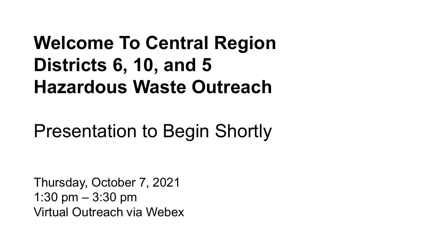# **Welcome To Central Region Districts 6, 10, and 5 Hazardous Waste Outreach**

# Presentation to Begin Shortly

Thursday, October 7, 2021 1:30 pm – 3:30 pm Virtual Outreach via Webex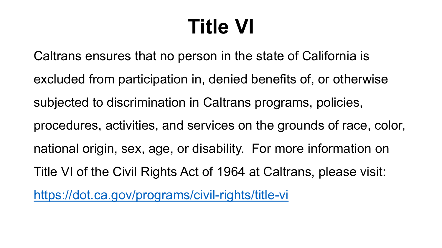# **Title VI**

Caltrans ensures that no person in the state of California is excluded from participation in, denied benefits of, or otherwise subjected to discrimination in Caltrans programs, policies, procedures, activities, and services on the grounds of race, color, national origin, sex, age, or disability. For more information on Title VI of the Civil Rights Act of 1964 at Caltrans, please visit: <https://dot.ca.gov/programs/civil-rights/title-vi>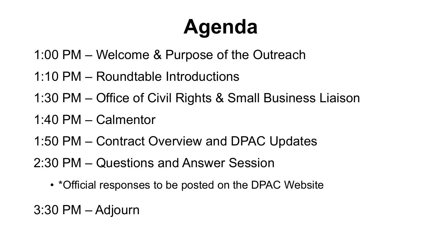# **Agenda**

- 1:00 PM Welcome & Purpose of the Outreach
- 1:10 PM Roundtable Introductions
- 1:30 PM Office of Civil Rights & Small Business Liaison
- 1:40 PM Calmentor
- 1:50 PM Contract Overview and DPAC Updates
- 2:30 PM Questions and Answer Session
	- \*Official responses to be posted on the DPAC Website
- 3:30 PM Adjourn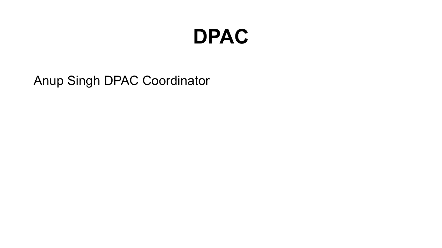# **DPAC**

Anup Singh DPAC Coordinator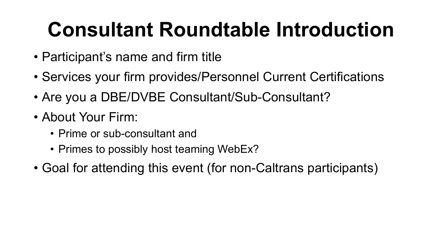# **Consultant Roundtable Introduction**

- Participant's name and firm title
- Services your firm provides/Personnel Current Certifications
- Are you a DBE/DVBE Consultant/Sub-Consultant?
- About Your Firm:
	- Prime or sub-consultant and
	- Primes to possibly host teaming WebEx?
- Goal for attending this event (for non-Caltrans participants)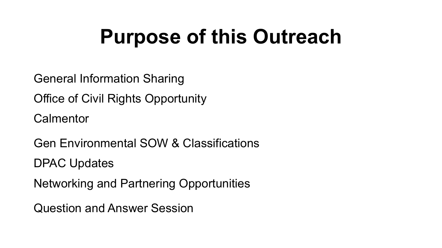# **Purpose of this Outreach**

General Information Sharing

Office of Civil Rights Opportunity

**Calmentor** 

Gen Environmental SOW & Classifications DPAC Updates

Networking and Partnering Opportunities

Question and Answer Session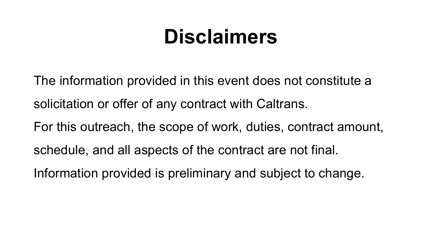# **Disclaimers**

The information provided in this event does not constitute a solicitation or offer of any contract with Caltrans.

For this outreach, the scope of work, duties, contract amount, schedule, and all aspects of the contract are not final.

Information provided is preliminary and subject to change.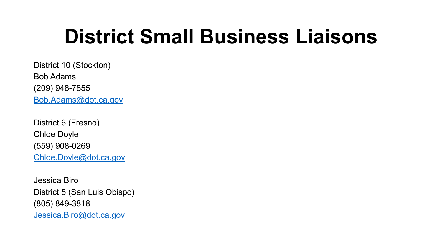# **District Small Business Liaisons**

District 10 (Stockton) Bob Adams (209) 948-7855 [Bob.Adams@dot.ca.gov](mailto:Bob.Adams@dot.ca.gov)

District 6 (Fresno) Chloe Doyle (559) 908-0269 [Chloe.Doyle@dot.ca.gov](mailto:Chloe.Doyle@dot.ca.gov) 

Jessica Biro District 5 (San Luis Obispo) (805) 849-3818 [Jessica.Biro@dot.ca.gov](mailto:Jessica.Biro@dot.ca.gov)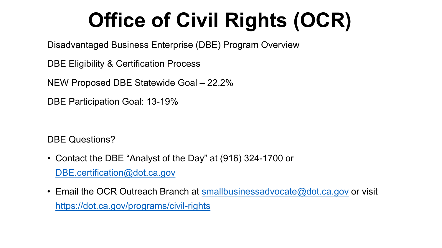# **Office of Civil Rights (OCR)**

Disadvantaged Business Enterprise (DBE) Program Overview

DBE Eligibility & Certification Process

NEW Proposed DBE Statewide Goal – 22.2%

DBE Participation Goal: 13-19%

DBE Questions?

- Contact the DBE "Analyst of the Day" at (916) 324-1700 or [DBE.certification@dot.ca.gov](mailto:DBE.certification@dot.ca.gov)
- Email the OCR Outreach Branch at [smallbusinessadvocate@dot.ca.gov](mailto:smallbusinessadvocate@dot.ca.gov) or visit <https://dot.ca.gov/programs/civil-rights>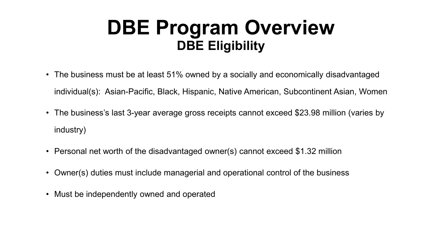## **DBE Program Overview DBE Eligibility**

- The business must be at least 51% owned by a socially and economically disadvantaged individual(s): Asian-Pacific, Black, Hispanic, Native American, Subcontinent Asian, Women
- The business's last 3-year average gross receipts cannot exceed \$23.98 million (varies by industry)
- Personal net worth of the disadvantaged owner(s) cannot exceed \$1.32 million
- Owner(s) duties must include managerial and operational control of the business
- Must be independently owned and operated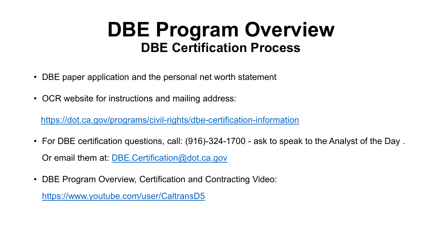## **DBE Program Overview DBE Certification Process**

- DBE paper application and the personal net worth statement
- OCR website for instructions and mailing address:

<https://dot.ca.gov/programs/civil-rights/dbe-certification-information>

- For DBE certification questions, call: (916)-324-1700 ask to speak to the Analyst of the Day . Or email them at: [DBE.Certification@dot.ca.gov](mailto:DBE.Certification@dot.ca.gov)
- DBE Program Overview, Certification and Contracting Video:

<https://www.youtube.com/user/CaltransD5>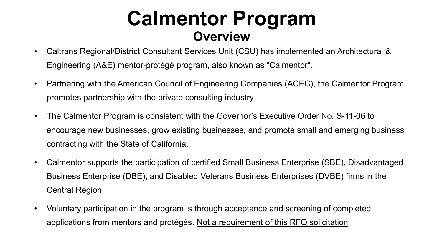## **Calmentor Program Overview**

- Caltrans Regional/District Consultant Services Unit (CSU) has implemented an Architectural & Engineering (A&E) mentor-protégé program, also known as "Calmentor".
- Partnering with the American Council of Engineering Companies (ACEC), the Calmentor Program promotes partnership with the private consulting industry
- The Calmentor Program is consistent with the Governor's Executive Order No. S-11-06 to encourage new businesses, grow existing businesses, and promote small and emerging business contracting with the State of California.
- Calmentor supports the participation of certified Small Business Enterprise (SBE), Disadvantaged Business Enterprise (DBE), and Disabled Veterans Business Enterprises (DVBE) firms in the Central Region.
- Voluntary participation in the program is through acceptance and screening of completed applications from mentors and protégés. Not a requirement of this RFQ solicitation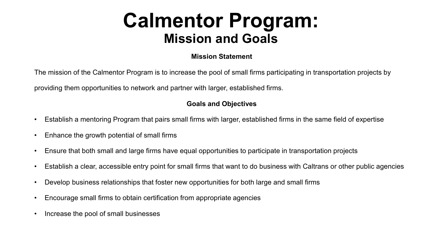## **Calmentor Program: Mission and Goals**

#### **Mission Statement**

The mission of the Calmentor Program is to increase the pool of small firms participating in transportation projects by

providing them opportunities to network and partner with larger, established firms.

#### **Goals and Objectives**

- Establish a mentoring Program that pairs small firms with larger, established firms in the same field of expertise
- Enhance the growth potential of small firms
- Ensure that both small and large firms have equal opportunities to participate in transportation projects
- Establish a clear, accessible entry point for small firms that want to do business with Caltrans or other public agencies
- Develop business relationships that foster new opportunities for both large and small firms
- Encourage small firms to obtain certification from appropriate agencies
- Increase the pool of small businesses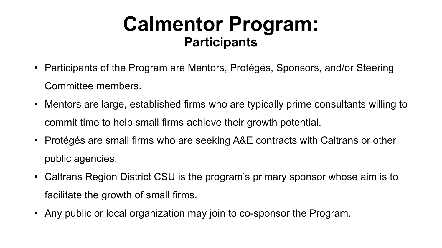## **Calmentor Program: Participants**

- Participants of the Program are Mentors, Protégés, Sponsors, and/or Steering Committee members.
- Mentors are large, established firms who are typically prime consultants willing to commit time to help small firms achieve their growth potential.
- Protégés are small firms who are seeking A&E contracts with Caltrans or other public agencies.
- Caltrans Region District CSU is the program's primary sponsor whose aim is to facilitate the growth of small firms.
- Any public or local organization may join to co-sponsor the Program.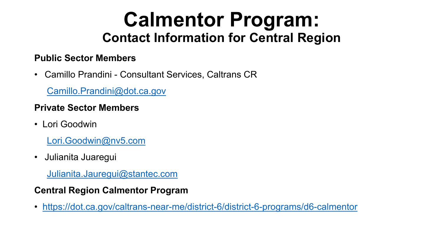## **Calmentor Program: Contact Information for Central Region**

#### **Public Sector Members**

• Camillo Prandini - Consultant Services, Caltrans CR

[Camillo.Prandini@dot.ca.gov](mailto:Camillo.Prandini@dot.ca.gov)

#### **Private Sector Members**

• Lori Goodwin

[Lori.Goodwin@nv5.com](mailto:Lori.Goodwin@nv5.com)

• Julianita Juaregui

[Julianita.Jauregui@stantec.com](mailto:Julianita.Jauregui@stantec.com)

#### **Central Region Calmentor Program**

• <https://dot.ca.gov/caltrans-near-me/district-6/district-6-programs/d6-calmentor>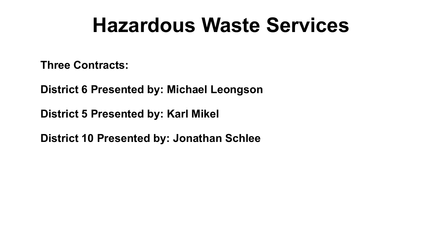# **Hazardous Waste Services**

**Three Contracts:**

**District 6 Presented by: Michael Leongson**

**District 5 Presented by: Karl Mikel**

**District 10 Presented by: Jonathan Schlee**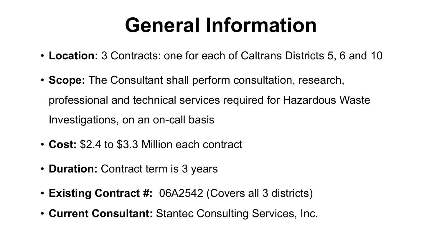# **General Information**

- **Location:** 3 Contracts: one for each of Caltrans Districts 5, 6 and 10
- **Scope:** The Consultant shall perform consultation, research, professional and technical services required for Hazardous Waste Investigations, on an on-call basis
- **Cost:** \$2.4 to \$3.3 Million each contract
- **Duration:** Contract term is 3 years
- **Existing Contract #:** 06A2542 (Covers all 3 districts)
- **Current Consultant:** Stantec Consulting Services, Inc.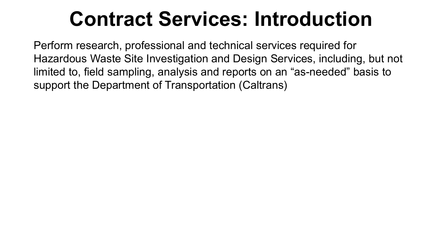# **Contract Services: Introduction**

Perform research, professional and technical services required for Hazardous Waste Site Investigation and Design Services, including, but not limited to, field sampling, analysis and reports on an "as-needed" basis to support the Department of Transportation (Caltrans)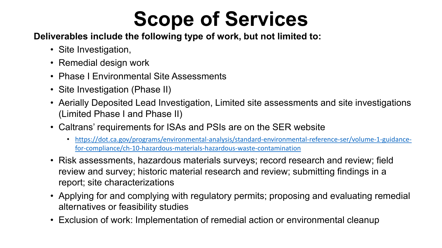# **Scope of Services**

#### **Deliverables include the following type of work, but not limited to:**

- Site Investigation,
- Remedial design work
- Phase I Environmental Site Assessments
- Site Investigation (Phase II)
- Aerially Deposited Lead Investigation, Limited site assessments and site investigations (Limited Phase I and Phase II)
- Caltrans' requirements for ISAs and PSIs are on the SER website
	- [https://dot.ca.gov/programs/environmental-analysis/standard-environmental-reference-ser/volume-1-guidance](https://dot.ca.gov/programs/environmental-analysis/standard-environmental-reference-ser/volume-1-guidance-for-compliance/ch-10-hazardous-materials-hazardous-waste-contamination)for-compliance/ch-10-hazardous-materials-hazardous-waste-contamination
- Risk assessments, hazardous materials surveys; record research and review; field review and survey; historic material research and review; submitting findings in a report; site characterizations
- Applying for and complying with regulatory permits; proposing and evaluating remedial alternatives or feasibility studies
- Exclusion of work: Implementation of remedial action or environmental cleanup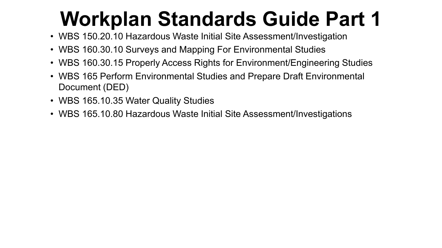- WBS 150.20.10 Hazardous Waste Initial Site Assessment/Investigation
- WBS 160.30.10 Surveys and Mapping For Environmental Studies
- WBS 160.30.15 Properly Access Rights for Environment/Engineering Studies
- WBS 165 Perform Environmental Studies and Prepare Draft Environmental Document (DED)
- WBS 165.10.35 Water Quality Studies
- WBS 165.10.80 Hazardous Waste Initial Site Assessment/Investigations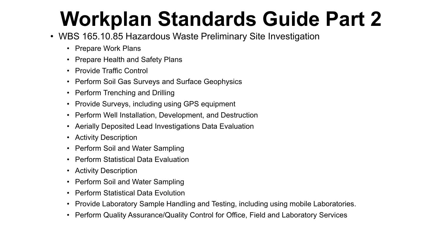- WBS 165.10.85 Hazardous Waste Preliminary Site Investigation
	- Prepare Work Plans
	- Prepare Health and Safety Plans
	- Provide Traffic Control
	- Perform Soil Gas Surveys and Surface Geophysics
	- Perform Trenching and Drilling
	- Provide Surveys, including using GPS equipment
	- Perform Well Installation, Development, and Destruction
	- Aerially Deposited Lead Investigations Data Evaluation
	- Activity Description
	- Perform Soil and Water Sampling
	- Perform Statistical Data Evaluation
	- Activity Description
	- Perform Soil and Water Sampling
	- Perform Statistical Data Evolution
	- Provide Laboratory Sample Handling and Testing, including using mobile Laboratories.
	- Perform Quality Assurance/Quality Control for Office, Field and Laboratory Services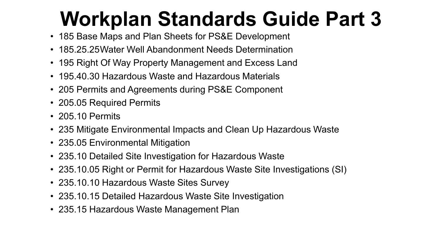- 185 Base Maps and Plan Sheets for PS&E Development
- 185.25.25Water Well Abandonment Needs Determination
- 195 Right Of Way Property Management and Excess Land
- 195.40.30 Hazardous Waste and Hazardous Materials
- 205 Permits and Agreements during PS&E Component
- 205.05 Required Permits
- 205.10 Permits
- 235 Mitigate Environmental Impacts and Clean Up Hazardous Waste
- 235.05 Environmental Mitigation
- 235.10 Detailed Site Investigation for Hazardous Waste
- 235.10.05 Right or Permit for Hazardous Waste Site Investigations (SI)
- 235.10.10 Hazardous Waste Sites Survey
- 235.10.15 Detailed Hazardous Waste Site Investigation
- 235.15 Hazardous Waste Management Plan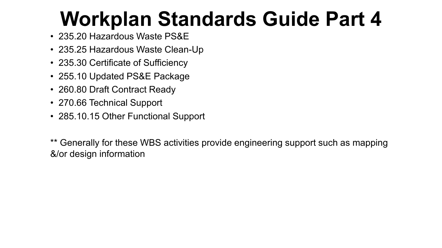- 235.20 Hazardous Waste PS&E
- 235.25 Hazardous Waste Clean-Up
- 235.30 Certificate of Sufficiency
- 255.10 Updated PS&E Package
- 260.80 Draft Contract Ready
- 270.66 Technical Support
- 285.10.15 Other Functional Support

\*\* Generally for these WBS activities provide engineering support such as mapping &/or design information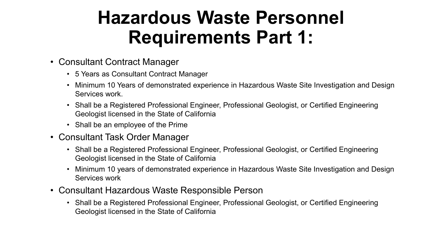## **Hazardous Waste Personnel Requirements Part 1:**

- Consultant Contract Manager
	- 5 Years as Consultant Contract Manager
	- Minimum 10 Years of demonstrated experience in Hazardous Waste Site Investigation and Design Services work.
	- Shall be a Registered Professional Engineer, Professional Geologist, or Certified Engineering Geologist licensed in the State of California
	- Shall be an employee of the Prime
- Consultant Task Order Manager
	- Shall be a Registered Professional Engineer, Professional Geologist, or Certified Engineering Geologist licensed in the State of California
	- Minimum 10 years of demonstrated experience in Hazardous Waste Site Investigation and Design Services work
- Consultant Hazardous Waste Responsible Person
	- Shall be a Registered Professional Engineer, Professional Geologist, or Certified Engineering Geologist licensed in the State of California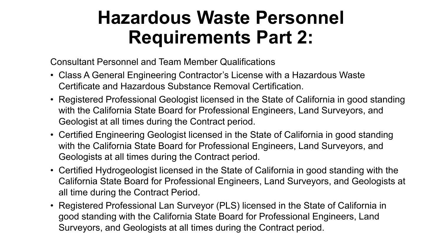## **Hazardous Waste Personnel Requirements Part 2:**

Consultant Personnel and Team Member Qualifications

- Class A General Engineering Contractor's License with a Hazardous Waste Certificate and Hazardous Substance Removal Certification.
- Registered Professional Geologist licensed in the State of California in good standing with the California State Board for Professional Engineers, Land Surveyors, and Geologist at all times during the Contract period.
- Certified Engineering Geologist licensed in the State of California in good standing with the California State Board for Professional Engineers, Land Surveyors, and Geologists at all times during the Contract period.
- Certified Hydrogeologist licensed in the State of California in good standing with the California State Board for Professional Engineers, Land Surveyors, and Geologists at all time during the Contract Period.
- Registered Professional Lan Surveyor (PLS) licensed in the State of California in good standing with the California State Board for Professional Engineers, Land Surveyors, and Geologists at all times during the Contract period.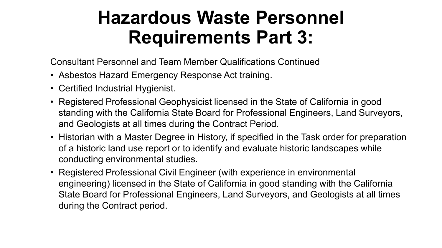## **Hazardous Waste Personnel Requirements Part 3:**

Consultant Personnel and Team Member Qualifications Continued

- Asbestos Hazard Emergency Response Act training.
- Certified Industrial Hygienist.
- Registered Professional Geophysicist licensed in the State of California in good standing with the California State Board for Professional Engineers, Land Surveyors, and Geologists at all times during the Contract Period.
- Historian with a Master Degree in History, if specified in the Task order for preparation of a historic land use report or to identify and evaluate historic landscapes while conducting environmental studies.
- Registered Professional Civil Engineer (with experience in environmental engineering) licensed in the State of California in good standing with the California State Board for Professional Engineers, Land Surveyors, and Geologists at all times during the Contract period.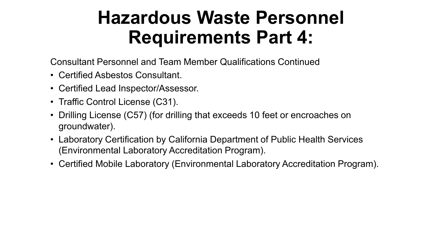## **Hazardous Waste Personnel Requirements Part 4:**

Consultant Personnel and Team Member Qualifications Continued

- Certified Asbestos Consultant.
- Certified Lead Inspector/Assessor.
- Traffic Control License (C31).
- Drilling License (C57) (for drilling that exceeds 10 feet or encroaches on groundwater).
- Laboratory Certification by California Department of Public Health Services (Environmental Laboratory Accreditation Program).
- Certified Mobile Laboratory (Environmental Laboratory Accreditation Program).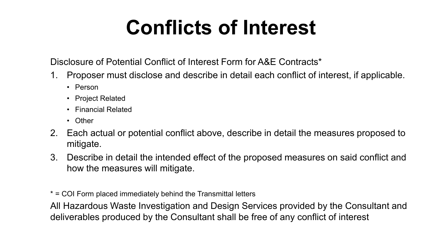# **Conflicts of Interest**

Disclosure of Potential Conflict of Interest Form for A&E Contracts\*

- 1. Proposer must disclose and describe in detail each conflict of interest, if applicable.
	- Person
	- Project Related
	- Financial Related
	- Other
- 2. Each actual or potential conflict above, describe in detail the measures proposed to mitigate.
- 3. Describe in detail the intended effect of the proposed measures on said conflict and how the measures will mitigate.

\* = COI Form placed immediately behind the Transmittal letters

All Hazardous Waste Investigation and Design Services provided by the Consultant and deliverables produced by the Consultant shall be free of any conflict of interest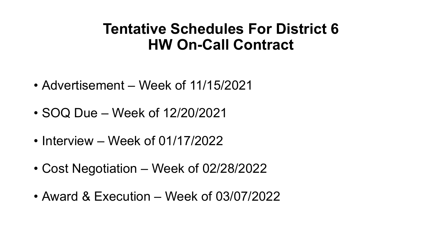### **Tentative Schedules For District 6 HW On-Call Contract**

- Advertisement Week of 11/15/2021
- SOQ Due Week of 12/20/2021
- Interview Week of 01/17/2022
- Cost Negotiation Week of 02/28/2022
- Award & Execution Week of 03/07/2022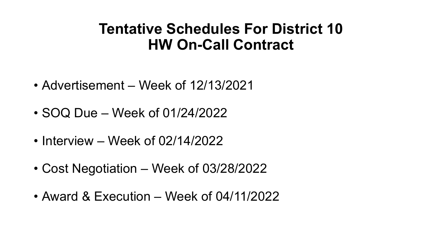### **Tentative Schedules For District 10 HW On-Call Contract**

- Advertisement Week of 12/13/2021
- SOQ Due Week of 01/24/2022
- Interview Week of 02/14/2022
- Cost Negotiation Week of 03/28/2022
- Award & Execution Week of 04/11/2022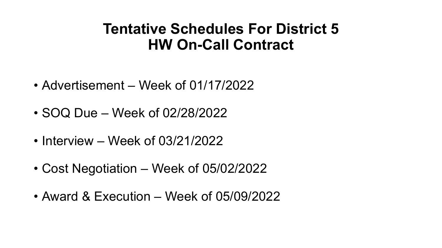### **Tentative Schedules For District 5 HW On-Call Contract**

- Advertisement Week of 01/17/2022
- SOQ Due Week of 02/28/2022
- Interview Week of 03/21/2022
- Cost Negotiation Week of 05/02/2022
- Award & Execution Week of 05/09/2022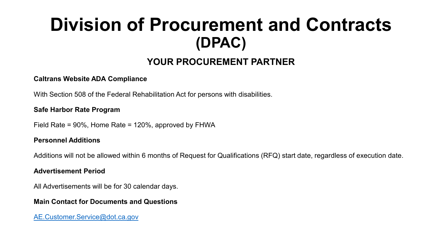## **Division of Procurement and Contracts (DPAC)**

#### **YOUR PROCUREMENT PARTNER**

#### **Caltrans Website ADA Compliance**

With Section 508 of the Federal Rehabilitation Act for persons with disabilities.

#### **Safe Harbor Rate Program**

Field Rate = 90%, Home Rate = 120%, approved by FHWA

#### **Personnel Additions**

Additions will not be allowed within 6 months of Request for Qualifications (RFQ) start date, regardless of execution date.

#### **Advertisement Period**

All Advertisements will be for 30 calendar days.

#### **Main Contact for Documents and Questions**

[AE.Customer.Service@dot.ca.gov](mailto:AE.Customer.Service@dot.ca.gov)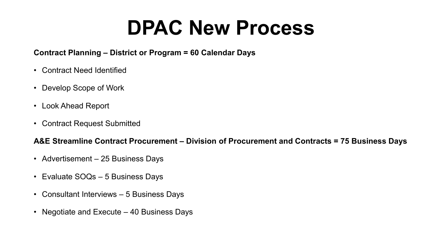# **DPAC New Process**

#### **Contract Planning – District or Program = 60 Calendar Days**

- Contract Need Identified
- Develop Scope of Work
- Look Ahead Report
- Contract Request Submitted

#### **A&E Streamline Contract Procurement – Division of Procurement and Contracts = 75 Business Days**

- Advertisement 25 Business Days
- Evaluate SOQs 5 Business Days
- Consultant Interviews 5 Business Days
- Negotiate and Execute 40 Business Days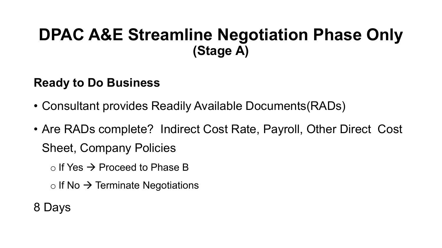### **DPAC A&E Streamline Negotiation Phase Only (Stage A)**

### **Ready to Do Business**

- Consultant provides Readily Available Documents(RADs)
- Are RADs complete? Indirect Cost Rate, Payroll, Other Direct Cost Sheet, Company Policies
	- $\circ$  If Yes  $\rightarrow$  Proceed to Phase B
	- $\circ$  If No  $\rightarrow$  Terminate Negotiations

8 Days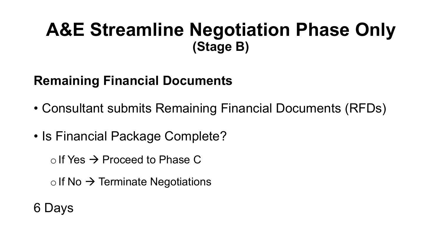### **A&E Streamline Negotiation Phase Only (Stage B)**

### **Remaining Financial Documents**

- Consultant submits Remaining Financial Documents (RFDs)
- Is Financial Package Complete?

 $\circ$  If Yes  $\rightarrow$  Proceed to Phase C

 $\circ$  If No  $\rightarrow$  Terminate Negotiations

6 Days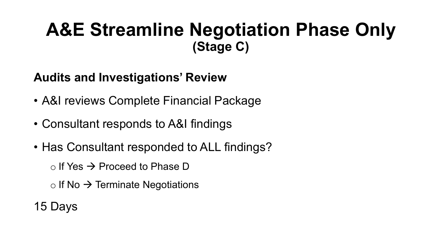## **A&E Streamline Negotiation Phase Only (Stage C)**

### **Audits and Investigations' Review**

- A&I reviews Complete Financial Package
- Consultant responds to A&I findings
- Has Consultant responded to ALL findings?

 $\circ$  If Yes  $\rightarrow$  Proceed to Phase D

 $\circ$  If No  $\rightarrow$  Terminate Negotiations

15 Days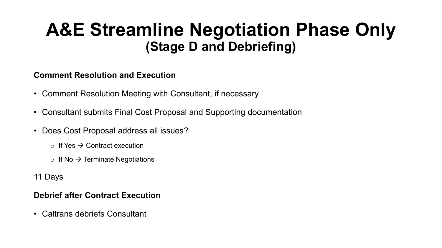### **A&E Streamline Negotiation Phase Only (Stage D and Debriefing)**

#### **Comment Resolution and Execution**

- Comment Resolution Meeting with Consultant, if necessary
- Consultant submits Final Cost Proposal and Supporting documentation
- Does Cost Proposal address all issues?
	- $\circ$  If Yes  $\rightarrow$  Contract execution
	- $\circ$  If No  $\rightarrow$  Terminate Negotiations
- 11 Days

#### **Debrief after Contract Execution**

• Caltrans debriefs Consultant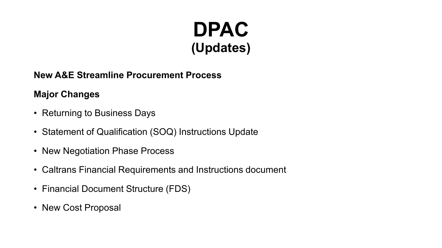## **DPAC (Updates)**

#### **New A&E Streamline Procurement Process**

#### **Major Changes**

- Returning to Business Days
- Statement of Qualification (SOQ) Instructions Update
- New Negotiation Phase Process
- Caltrans Financial Requirements and Instructions document
- Financial Document Structure (FDS)
- New Cost Proposal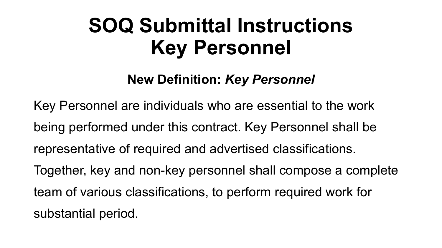# **SOQ Submittal Instructions Key Personnel**

### **New Definition:** *Key Personnel*

Key Personnel are individuals who are essential to the work being performed under this contract. Key Personnel shall be representative of required and advertised classifications. Together, key and non-key personnel shall compose a complete team of various classifications, to perform required work for substantial period.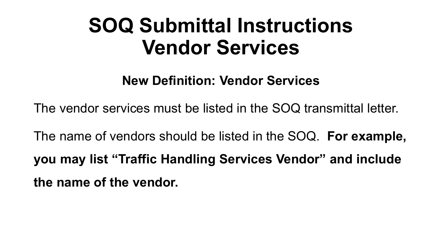# **SOQ Submittal Instructions Vendor Services**

**New Definition: Vendor Services**

The vendor services must be listed in the SOQ transmittal letter.

The name of vendors should be listed in the SOQ. **For example, you may list "Traffic Handling Services Vendor" and include the name of the vendor.**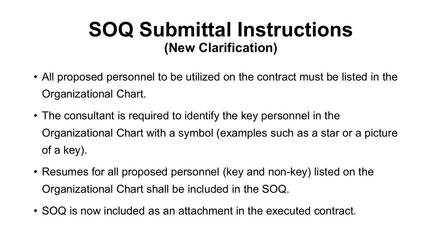## **SOQ Submittal Instructions (New Clarification)**

- All proposed personnel to be utilized on the contract must be listed in the Organizational Chart.
- The consultant is required to identify the key personnel in the Organizational Chart with a symbol (examples such as a star or a picture of a key).
- Resumes for all proposed personnel (key and non-key) listed on the Organizational Chart shall be included in the SOQ.
- SOQ is now included as an attachment in the executed contract.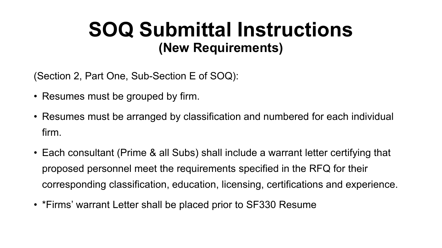## **SOQ Submittal Instructions (New Requirements)**

(Section 2, Part One, Sub-Section E of SOQ):

- Resumes must be grouped by firm.
- Resumes must be arranged by classification and numbered for each individual firm.
- Each consultant (Prime & all Subs) shall include a warrant letter certifying that proposed personnel meet the requirements specified in the RFQ for their corresponding classification, education, licensing, certifications and experience.
- \*Firms' warrant Letter shall be placed prior to SF330 Resume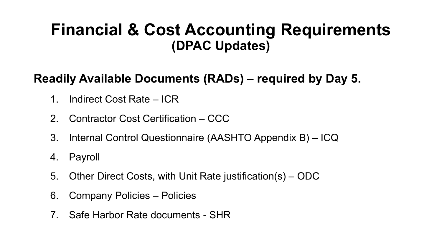### **Financial & Cost Accounting Requirements (DPAC Updates)**

### **Readily Available Documents (RADs) – required by Day 5.**

- 1. Indirect Cost Rate ICR
- 2. Contractor Cost Certification CCC
- 3. Internal Control Questionnaire (AASHTO Appendix B) ICQ
- 4. Payroll
- 5. Other Direct Costs, with Unit Rate justification(s) ODC
- 6. Company Policies Policies
- 7. Safe Harbor Rate documents SHR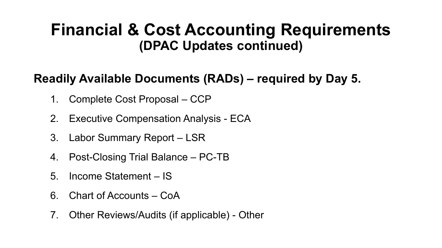### **Financial & Cost Accounting Requirements (DPAC Updates continued)**

### **Readily Available Documents (RADs) – required by Day 5.**

- 1. Complete Cost Proposal CCP
- 2. Executive Compensation Analysis ECA
- 3. Labor Summary Report LSR
- 4. Post-Closing Trial Balance PC-TB
- 5. Income Statement IS
- 6. Chart of Accounts CoA
- 7. Other Reviews/Audits (if applicable) Other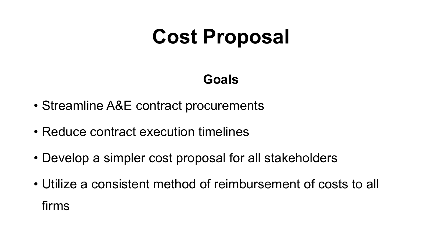# **Cost Proposal**

### **Goals**

- Streamline A&E contract procurements
- Reduce contract execution timelines
- Develop a simpler cost proposal for all stakeholders
- Utilize a consistent method of reimbursement of costs to all firms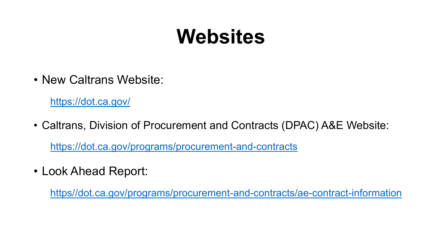# **Websites**

• New Caltrans Website:

<https://dot.ca.gov/>

- Caltrans, Division of Procurement and Contracts (DPAC) A&E Website: <https://dot.ca.gov/programs/procurement-and-contracts>
- Look Ahead Report:

https//dot.ca.gov/programs/procurement-and-contracts/ae-contract-information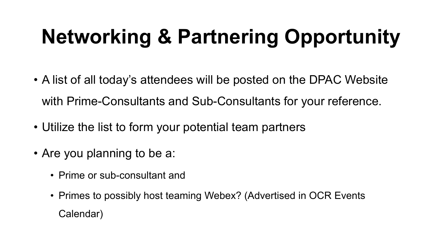# **Networking & Partnering Opportunity**

- A list of all today's attendees will be posted on the DPAC Website with Prime-Consultants and Sub-Consultants for your reference.
- Utilize the list to form your potential team partners
- Are you planning to be a:
	- Prime or sub-consultant and
	- Primes to possibly host teaming Webex? (Advertised in OCR Events Calendar)